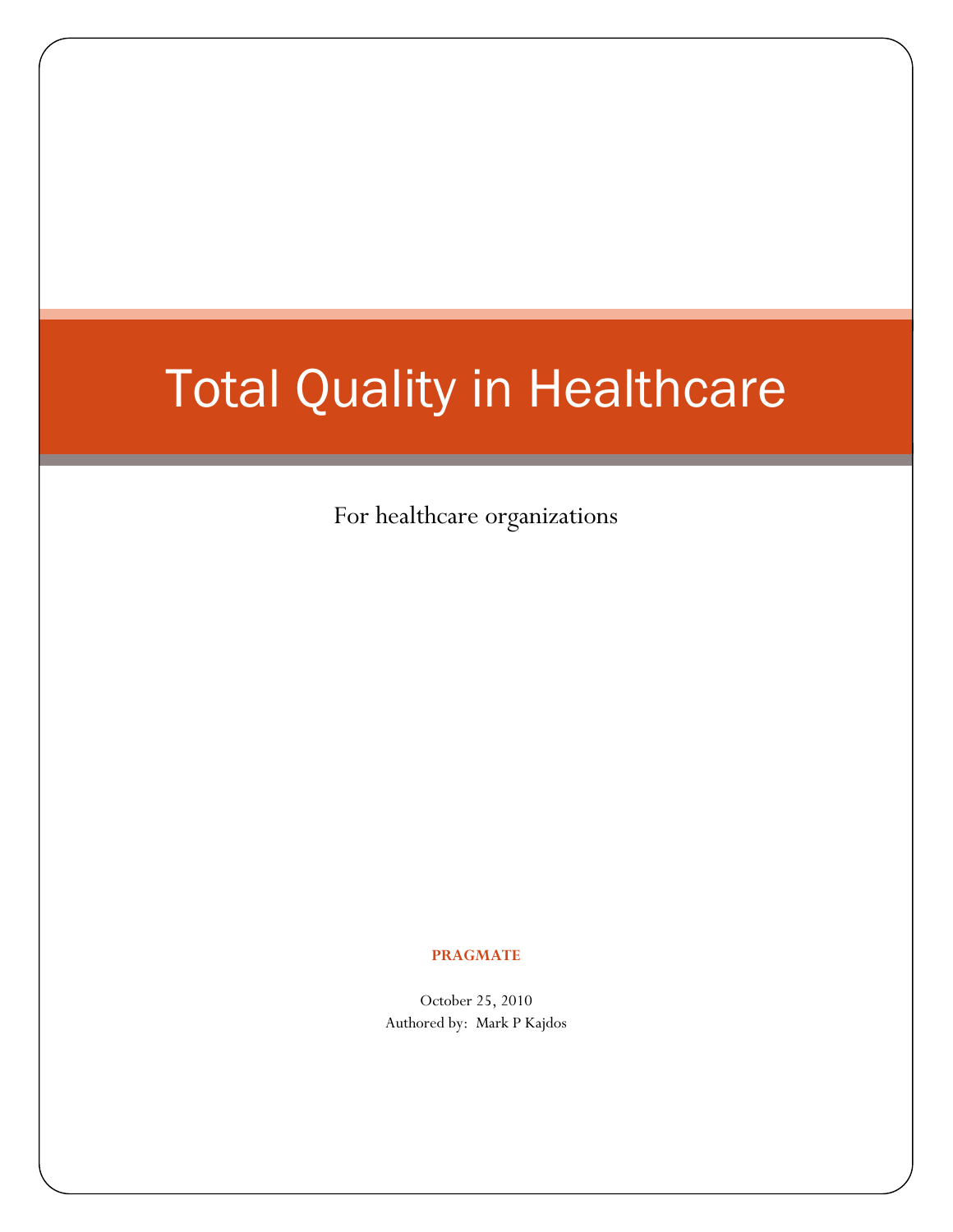# Total Quality in Healthcare

For healthcare organizations

#### **PRAGMATE**

October 25, 2010 Authored by: Mark P Kajdos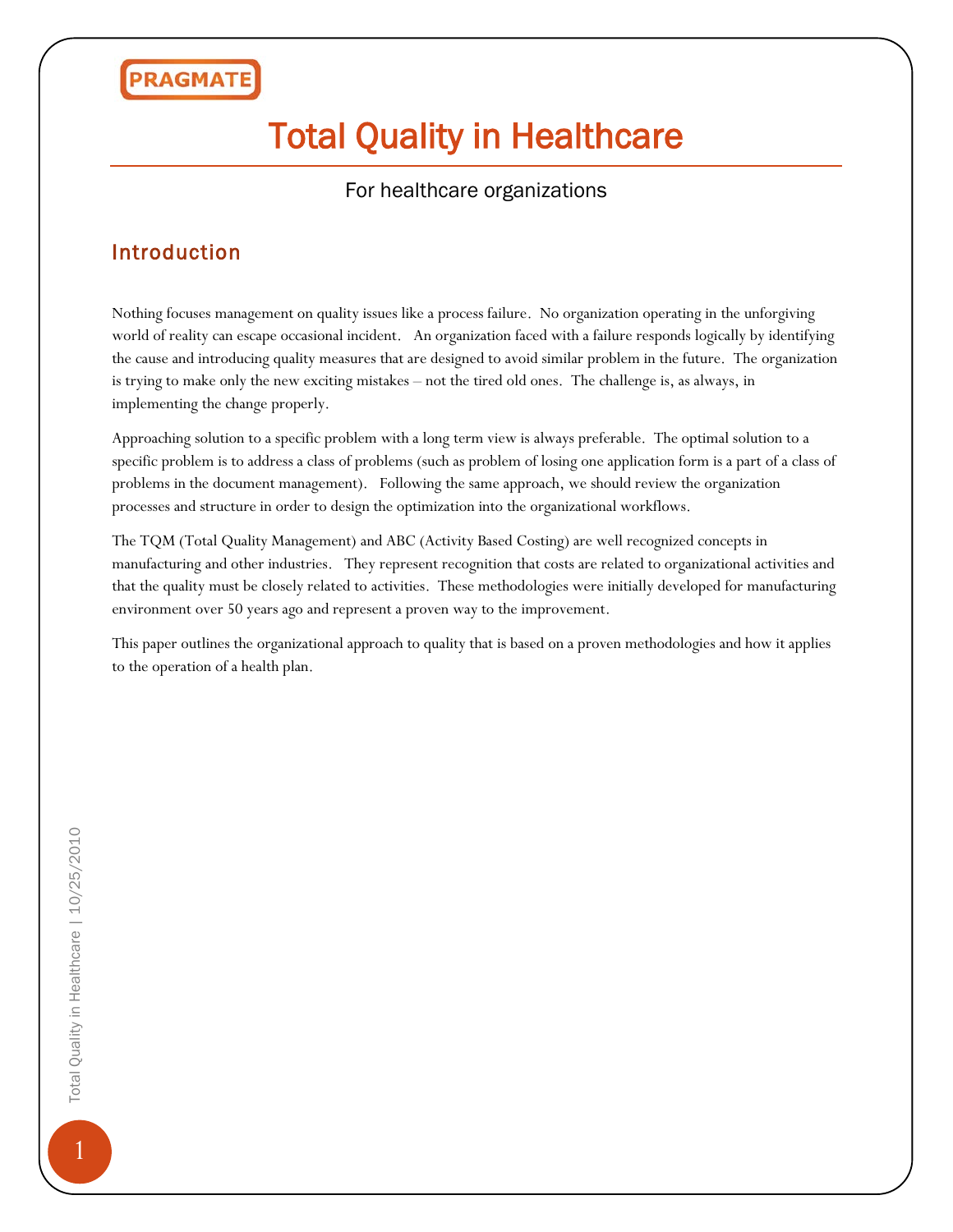## Total Quality in Healthcare

#### For healthcare organizations

#### Introduction

Nothing focuses management on quality issues like a process failure. No organization operating in the unforgiving world of reality can escape occasional incident. An organization faced with a failure responds logically by identifying the cause and introducing quality measures that are designed to avoid similar problem in the future. The organization is trying to make only the new exciting mistakes – not the tired old ones. The challenge is, as always, in implementing the change properly.

Approaching solution to a specific problem with a long term view is always preferable. The optimal solution to a specific problem is to address a class of problems (such as problem of losing one application form is a part of a class of problems in the document management). Following the same approach, we should review the organization processes and structure in order to design the optimization into the organizational workflows.

The TQM (Total Quality Management) and ABC (Activity Based Costing) are well recognized concepts in manufacturing and other industries. They represent recognition that costs are related to organizational activities and that the quality must be closely related to activities. These methodologies were initially developed for manufacturing environment over 50 years ago and represent a proven way to the improvement.

This paper outlines the organizational approach to quality that is based on a proven methodologies and how it applies to the operation of a health plan.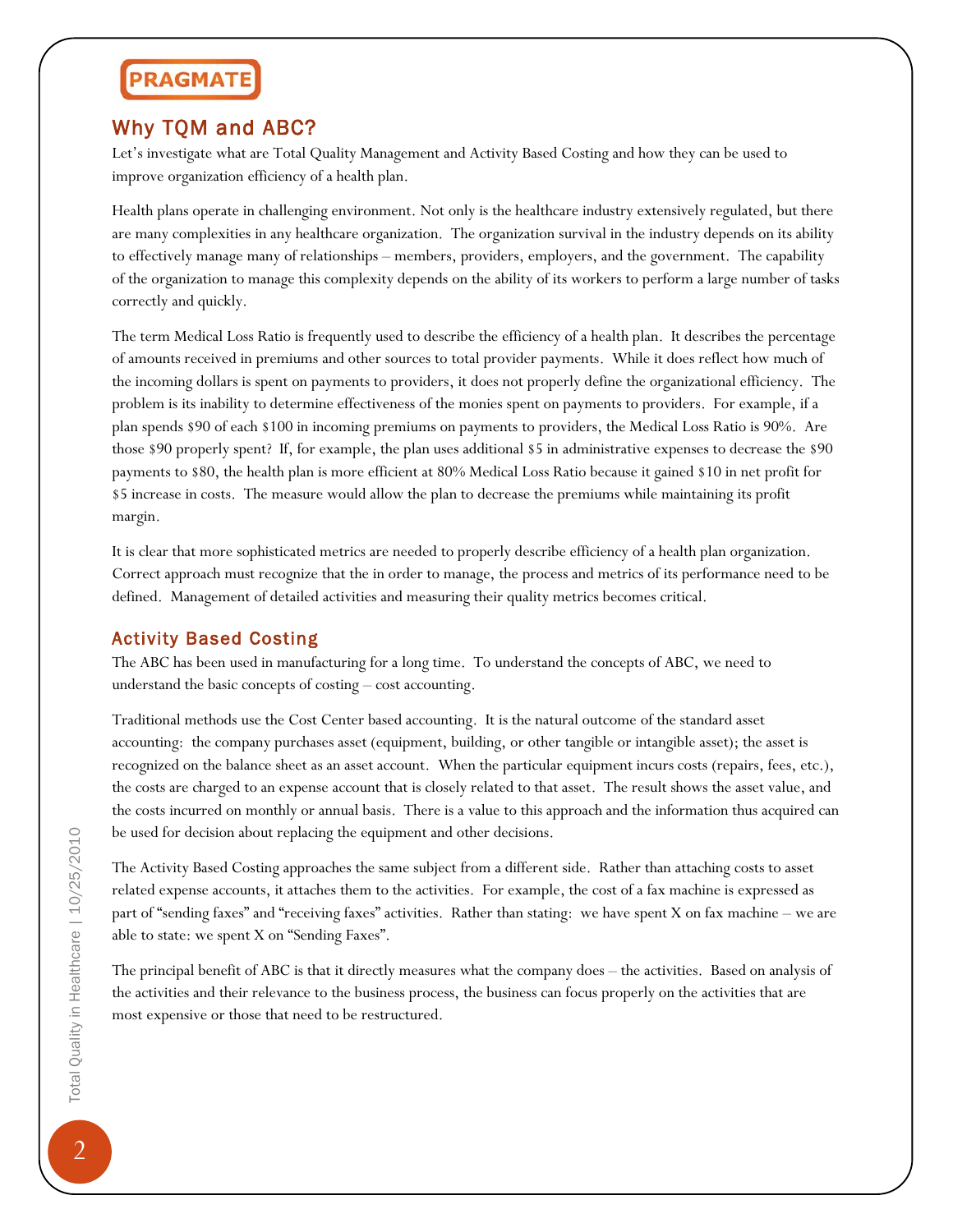#### Why TQM and ABC?

Let's investigate what are Total Quality Management and Activity Based Costing and how they can be used to improve organization efficiency of a health plan.

Health plans operate in challenging environment. Not only is the healthcare industry extensively regulated, but there are many complexities in any healthcare organization. The organization survival in the industry depends on its ability to effectively manage many of relationships – members, providers, employers, and the government. The capability of the organization to manage this complexity depends on the ability of its workers to perform a large number of tasks correctly and quickly.

The term Medical Loss Ratio is frequently used to describe the efficiency of a health plan. It describes the percentage of amounts received in premiums and other sources to total provider payments. While it does reflect how much of the incoming dollars is spent on payments to providers, it does not properly define the organizational efficiency. The problem is its inability to determine effectiveness of the monies spent on payments to providers. For example, if a plan spends \$90 of each \$100 in incoming premiums on payments to providers, the Medical Loss Ratio is 90%. Are those \$90 properly spent? If, for example, the plan uses additional \$5 in administrative expenses to decrease the \$90 payments to \$80, the health plan is more efficient at 80% Medical Loss Ratio because it gained \$10 in net profit for \$5 increase in costs. The measure would allow the plan to decrease the premiums while maintaining its profit margin.

It is clear that more sophisticated metrics are needed to properly describe efficiency of a health plan organization. Correct approach must recognize that the in order to manage, the process and metrics of its performance need to be defined. Management of detailed activities and measuring their quality metrics becomes critical.

#### Activity Based Costing

The ABC has been used in manufacturing for a long time. To understand the concepts of ABC, we need to understand the basic concepts of costing – cost accounting.

Traditional methods use the Cost Center based accounting. It is the natural outcome of the standard asset accounting: the company purchases asset (equipment, building, or other tangible or intangible asset); the asset is recognized on the balance sheet as an asset account. When the particular equipment incurs costs (repairs, fees, etc.), the costs are charged to an expense account that is closely related to that asset. The result shows the asset value, and the costs incurred on monthly or annual basis. There is a value to this approach and the information thus acquired can be used for decision about replacing the equipment and other decisions.

The Activity Based Costing approaches the same subject from a different side. Rather than attaching costs to asset related expense accounts, it attaches them to the activities. For example, the cost of a fax machine is expressed as part of "sending faxes" and "receiving faxes" activities. Rather than stating: we have spent X on fax machine – we are able to state: we spent X on "Sending Faxes".

The principal benefit of ABC is that it directly measures what the company does – the activities. Based on analysis of the activities and their relevance to the business process, the business can focus properly on the activities that are most expensive or those that need to be restructured.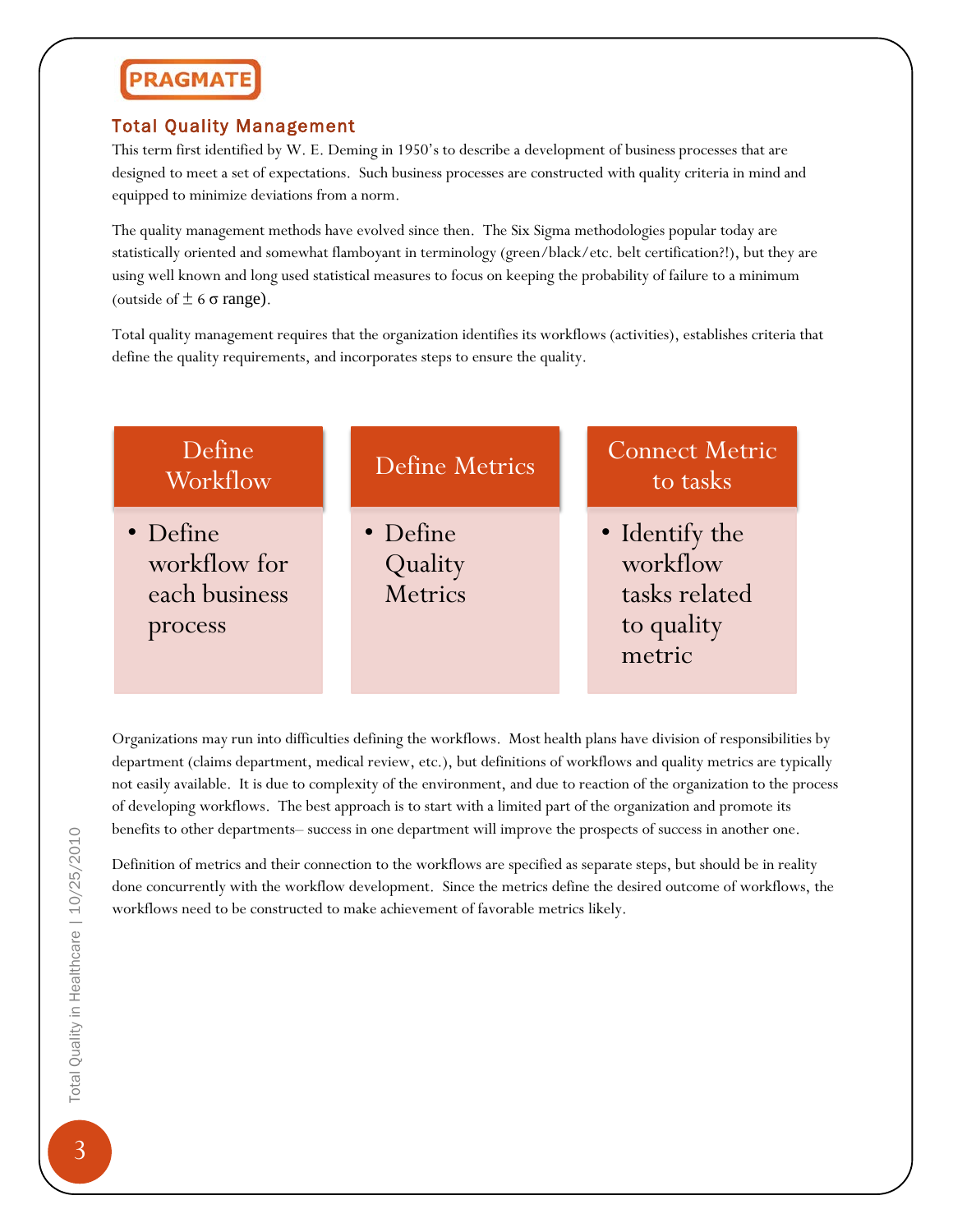#### Total Quality Management

This term first identified by W. E. Deming in 1950's to describe a development of business processes that are designed to meet a set of expectations. Such business processes are constructed with quality criteria in mind and equipped to minimize deviations from a norm.

The quality management methods have evolved since then. The Six Sigma methodologies popular today are statistically oriented and somewhat flamboyant in terminology (green/black/etc. belt certification?!), but they are using well known and long used statistical measures to focus on keeping the probability of failure to a minimum (outside of  $\pm$  6  $\sigma$  range).

Total quality management requires that the organization identifies its workflows (activities), establishes criteria that define the quality requirements, and incorporates steps to ensure the quality.



Organizations may run into difficulties defining the workflows. Most health plans have division of responsibilities by department (claims department, medical review, etc.), but definitions of workflows and quality metrics are typically not easily available. It is due to complexity of the environment, and due to reaction of the organization to the process of developing workflows. The best approach is to start with a limited part of the organization and promote its benefits to other departments– success in one department will improve the prospects of success in another one.

Definition of metrics and their connection to the workflows are specified as separate steps, but should be in reality done concurrently with the workflow development. Since the metrics define the desired outcome of workflows, the workflows need to be constructed to make achievement of favorable metrics likely.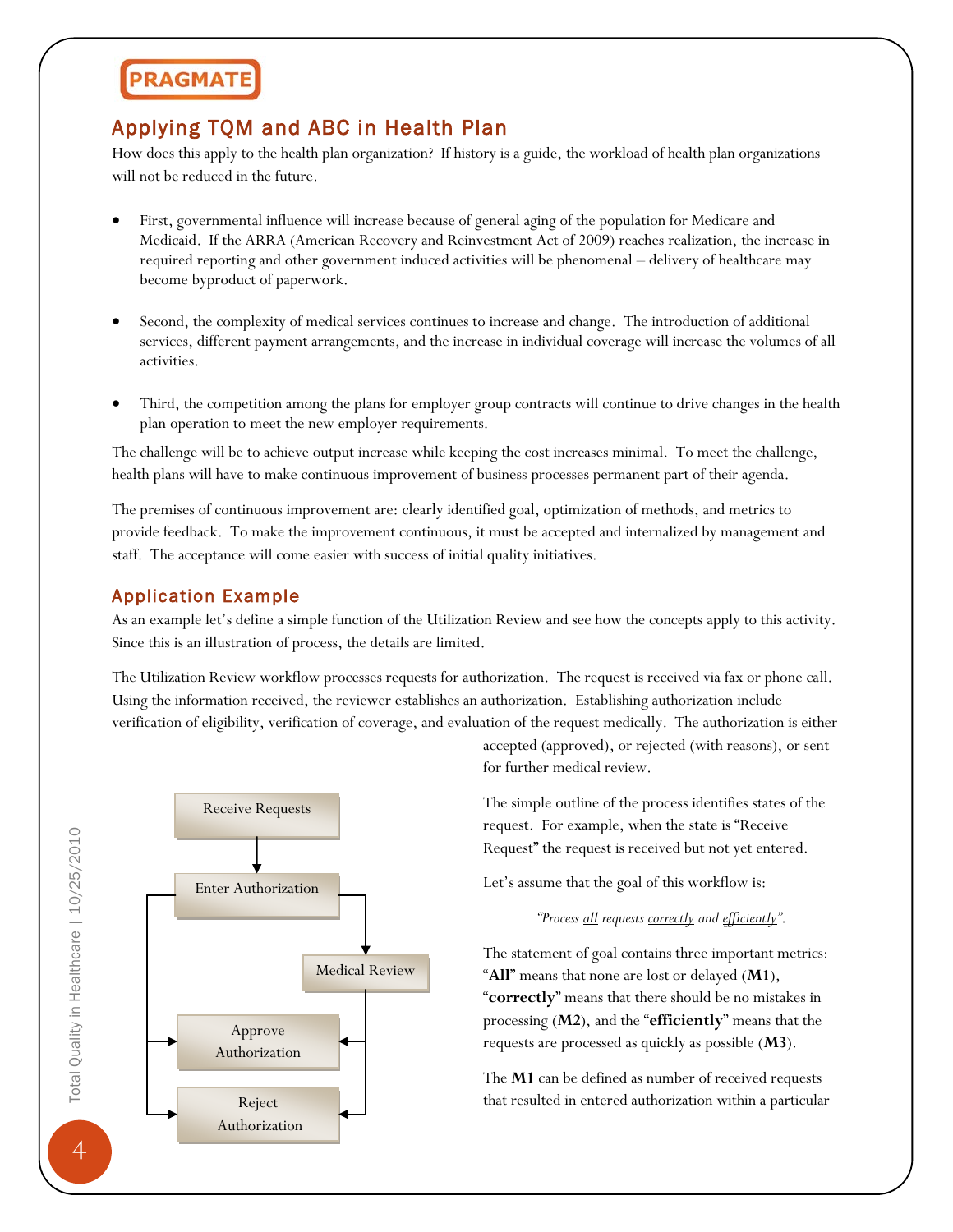#### Applying TQM and ABC in Health Plan

How does this apply to the health plan organization? If history is a guide, the workload of health plan organizations will not be reduced in the future.

- First, governmental influence will increase because of general aging of the population for Medicare and Medicaid. If the ARRA (American Recovery and Reinvestment Act of 2009) reaches realization, the increase in required reporting and other government induced activities will be phenomenal – delivery of healthcare may become byproduct of paperwork.
- Second, the complexity of medical services continues to increase and change. The introduction of additional services, different payment arrangements, and the increase in individual coverage will increase the volumes of all activities.
- Third, the competition among the plans for employer group contracts will continue to drive changes in the health plan operation to meet the new employer requirements.

The challenge will be to achieve output increase while keeping the cost increases minimal. To meet the challenge, health plans will have to make continuous improvement of business processes permanent part of their agenda.

The premises of continuous improvement are: clearly identified goal, optimization of methods, and metrics to provide feedback. To make the improvement continuous, it must be accepted and internalized by management and staff. The acceptance will come easier with success of initial quality initiatives.

#### Application Example

As an example let's define a simple function of the Utilization Review and see how the concepts apply to this activity. Since this is an illustration of process, the details are limited.

The Utilization Review workflow processes requests for authorization. The request is received via fax or phone call. Using the information received, the reviewer establishes an authorization. Establishing authorization include verification of eligibility, verification of coverage, and evaluation of the request medically. The authorization is either



accepted (approved), or rejected (with reasons), or sent for further medical review.

The simple outline of the process identifies states of the request. For example, when the state is "Receive Request" the request is received but not yet entered.

Let's assume that the goal of this workflow is:

*"Process all requests correctly and efficiently"*.

The statement of goal contains three important metrics: "**All**" means that none are lost or delayed (**M1**), "**correctly**" means that there should be no mistakes in processing (**M2**), and the "**efficiently**" means that the requests are processed as quickly as possible (**M3**).

The **M1** can be defined as number of received requests that resulted in entered authorization within a particular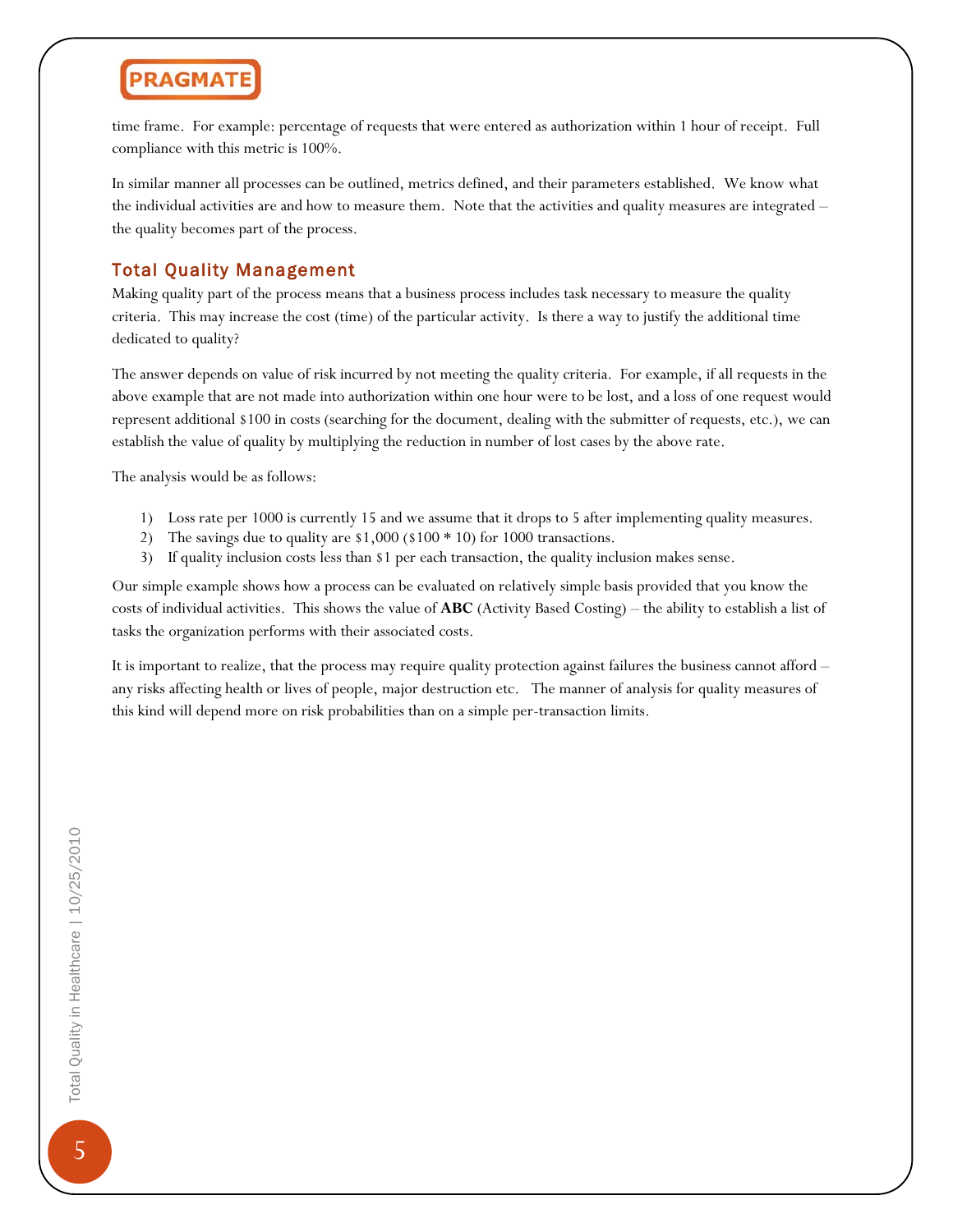time frame. For example: percentage of requests that were entered as authorization within 1 hour of receipt. Full compliance with this metric is 100%.

In similar manner all processes can be outlined, metrics defined, and their parameters established. We know what the individual activities are and how to measure them. Note that the activities and quality measures are integrated – the quality becomes part of the process.

#### Total Quality Management

Making quality part of the process means that a business process includes task necessary to measure the quality criteria. This may increase the cost (time) of the particular activity. Is there a way to justify the additional time dedicated to quality?

The answer depends on value of risk incurred by not meeting the quality criteria. For example, if all requests in the above example that are not made into authorization within one hour were to be lost, and a loss of one request would represent additional \$100 in costs (searching for the document, dealing with the submitter of requests, etc.), we can establish the value of quality by multiplying the reduction in number of lost cases by the above rate.

The analysis would be as follows:

- 1) Loss rate per 1000 is currently 15 and we assume that it drops to 5 after implementing quality measures.
- 2) The savings due to quality are \$1,000 (\$100 \* 10) for 1000 transactions.
- 3) If quality inclusion costs less than \$1 per each transaction, the quality inclusion makes sense.

Our simple example shows how a process can be evaluated on relatively simple basis provided that you know the costs of individual activities. This shows the value of **ABC** (Activity Based Costing) – the ability to establish a list of tasks the organization performs with their associated costs.

It is important to realize, that the process may require quality protection against failures the business cannot afford – any risks affecting health or lives of people, major destruction etc. The manner of analysis for quality measures of this kind will depend more on risk probabilities than on a simple per-transaction limits.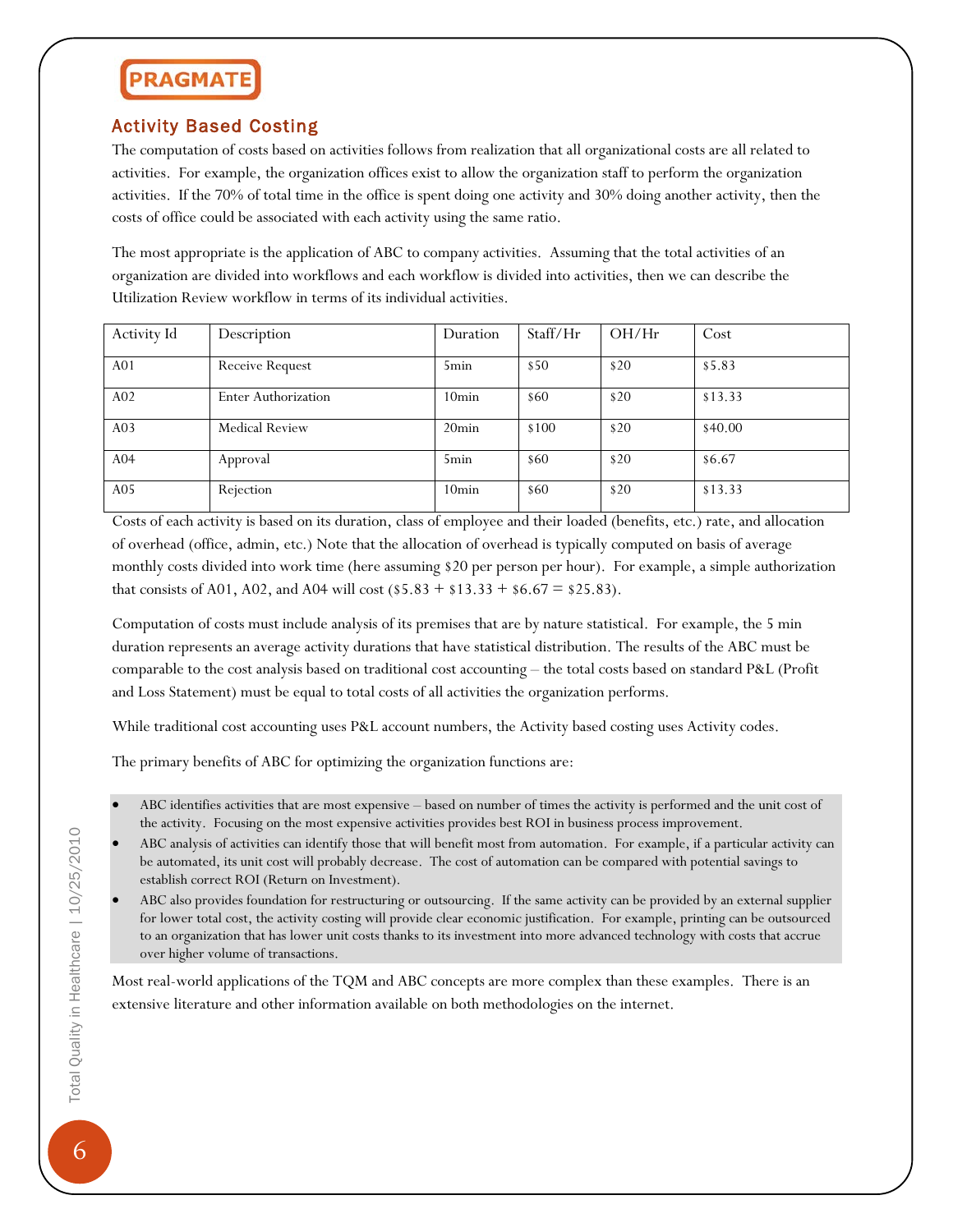#### Activity Based Costing

The computation of costs based on activities follows from realization that all organizational costs are all related to activities. For example, the organization offices exist to allow the organization staff to perform the organization activities. If the 70% of total time in the office is spent doing one activity and 30% doing another activity, then the costs of office could be associated with each activity using the same ratio.

The most appropriate is the application of ABC to company activities. Assuming that the total activities of an organization are divided into workflows and each workflow is divided into activities, then we can describe the Utilization Review workflow in terms of its individual activities.

| Activity Id     | Description            | Duration          | Staff/Hr | OH/Hr | Cost    |
|-----------------|------------------------|-------------------|----------|-------|---------|
| A <sub>01</sub> | <b>Receive Request</b> | 5 <sub>min</sub>  | \$50     | \$20  | \$5.83  |
| A <sub>02</sub> | Enter Authorization    | 10 <sub>min</sub> | \$60     | \$20  | \$13.33 |
| A <sub>03</sub> | <b>Medical Review</b>  | $20\text{min}$    | \$100    | \$20  | \$40.00 |
| A <sub>04</sub> | Approval               | 5 <sub>min</sub>  | \$60     | \$20  | \$6.67  |
| A05             | Rejection              | 10 <sub>min</sub> | \$60     | \$20  | \$13.33 |

Costs of each activity is based on its duration, class of employee and their loaded (benefits, etc.) rate, and allocation of overhead (office, admin, etc.) Note that the allocation of overhead is typically computed on basis of average monthly costs divided into work time (here assuming \$20 per person per hour). For example, a simple authorization that consists of A01, A02, and A04 will cost  $(\$5.83 + \$13.33 + \$6.67 = \$25.83)$ .

Computation of costs must include analysis of its premises that are by nature statistical. For example, the 5 min duration represents an average activity durations that have statistical distribution. The results of the ABC must be comparable to the cost analysis based on traditional cost accounting – the total costs based on standard P&L (Profit and Loss Statement) must be equal to total costs of all activities the organization performs.

While traditional cost accounting uses P&L account numbers, the Activity based costing uses Activity codes.

The primary benefits of ABC for optimizing the organization functions are:

- ABC analysis of activities can identify those that will benefit most from automation. For example, if a particular activity can be automated, its unit cost will probably decrease. The cost of automation can be compared with potential savings to establish correct ROI (Return on Investment).
- ABC also provides foundation for restructuring or outsourcing. If the same activity can be provided by an external supplier for lower total cost, the activity costing will provide clear economic justification. For example, printing can be outsourced to an organization that has lower unit costs thanks to its investment into more advanced technology with costs that accrue over higher volume of transactions.

Most real-world applications of the TQM and ABC concepts are more complex than these examples. There is an extensive literature and other information available on both methodologies on the internet.

<sup>•</sup> ABC identifies activities that are most expensive – based on number of times the activity is performed and the unit cost of the activity. Focusing on the most expensive activities provides best ROI in business process improvement.